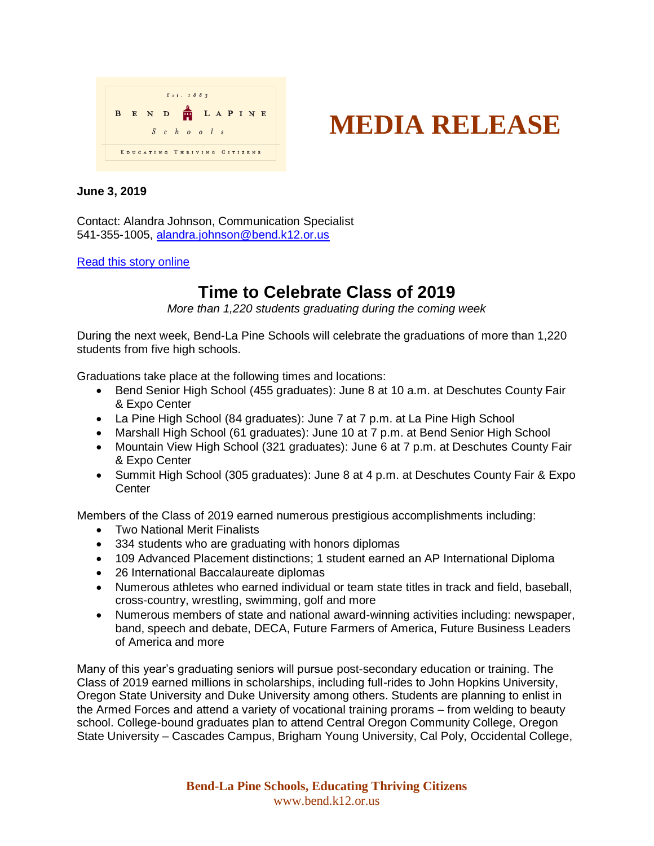



## **June 3, 2019**

Contact: Alandra Johnson, Communication Specialist 541-355-1005, [alandra.johnson@bend.k12.or.us](mailto:alandra.johnson@bend.k12.or.us)

## [Read this story online](https://www.bend.k12.or.us/district/news-events/news/2019/06/time-celebrate-class-2019)

## **Time to Celebrate Class of 2019**

*More than 1,220 students graduating during the coming week*

During the next week, Bend-La Pine Schools will celebrate the graduations of more than 1,220 students from five high schools.

Graduations take place at the following times and locations:

- Bend Senior High School (455 graduates): June 8 at 10 a.m. at Deschutes County Fair & Expo Center
- La Pine High School (84 graduates): June 7 at 7 p.m. at La Pine High School
- Marshall High School (61 graduates): June 10 at 7 p.m. at Bend Senior High School
- Mountain View High School (321 graduates): June 6 at 7 p.m. at Deschutes County Fair & Expo Center
- Summit High School (305 graduates): June 8 at 4 p.m. at Deschutes County Fair & Expo **Center**

Members of the Class of 2019 earned numerous prestigious accomplishments including:

- Two National Merit Finalists
- 334 students who are graduating with honors diplomas
- 109 Advanced Placement distinctions; 1 student earned an AP International Diploma
- 26 International Baccalaureate diplomas
- Numerous athletes who earned individual or team state titles in track and field, baseball, cross-country, wrestling, swimming, golf and more
- Numerous members of state and national award-winning activities including: newspaper, band, speech and debate, DECA, Future Farmers of America, Future Business Leaders of America and more

Many of this year's graduating seniors will pursue post-secondary education or training. The Class of 2019 earned millions in scholarships, including full-rides to John Hopkins University, Oregon State University and Duke University among others. Students are planning to enlist in the Armed Forces and attend a variety of vocational training prorams – from welding to beauty school. College-bound graduates plan to attend Central Oregon Community College, Oregon State University – Cascades Campus, Brigham Young University, Cal Poly, Occidental College,